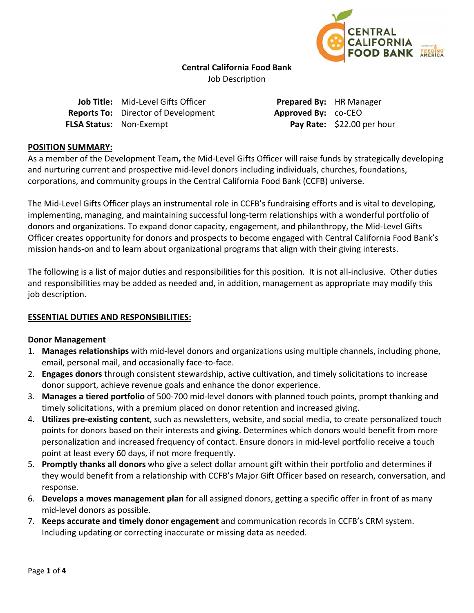

### **Central California Food Bank**

Job Description

| Job Title: Mid-Level Gifts Officer         |
|--------------------------------------------|
| <b>Reports To:</b> Director of Development |
| <b>FLSA Status: Non-Exempt</b>             |

**Prepared By:** HR Manager **Approved By:** co-CEO **Pay Rate:** \$22.00 per hour

### **POSITION SUMMARY:**

As a member of the Development Team**,** the Mid‐Level Gifts Officer will raise funds by strategically developing and nurturing current and prospective mid-level donors including individuals, churches, foundations, corporations, and community groups in the Central California Food Bank (CCFB) universe.

The Mid-Level Gifts Officer plays an instrumental role in CCFB's fundraising efforts and is vital to developing, implementing, managing, and maintaining successful long‐term relationships with a wonderful portfolio of donors and organizations. To expand donor capacity, engagement, and philanthropy, the Mid‐Level Gifts Officer creates opportunity for donors and prospects to become engaged with Central California Food Bank's mission hands‐on and to learn about organizational programs that align with their giving interests.

The following is a list of major duties and responsibilities for this position. It is not all‐inclusive. Other duties and responsibilities may be added as needed and, in addition, management as appropriate may modify this job description.

### **ESSENTIAL DUTIES AND RESPONSIBILITIES:**

### **Donor Management**

- 1. **Manages relationships** with mid‐level donors and organizations using multiple channels, including phone, email, personal mail, and occasionally face‐to‐face.
- 2. **Engages donors** through consistent stewardship, active cultivation, and timely solicitations to increase donor support, achieve revenue goals and enhance the donor experience.
- 3. **Manages a tiered portfolio** of 500‐700 mid‐level donors with planned touch points, prompt thanking and timely solicitations, with a premium placed on donor retention and increased giving.
- 4. **Utilizes pre‐existing content**, such as newsletters, website, and social media, to create personalized touch points for donors based on their interests and giving. Determines which donors would benefit from more personalization and increased frequency of contact. Ensure donors in mid‐level portfolio receive a touch point at least every 60 days, if not more frequently.
- 5. **Promptly thanks all donors** who give a select dollar amount gift within their portfolio and determines if they would benefit from a relationship with CCFB's Major Gift Officer based on research, conversation, and response.
- 6. **Develops a moves management plan** for all assigned donors, getting a specific offer in front of as many mid‐level donors as possible.
- 7. **Keeps accurate and timely donor engagement** and communication records in CCFB's CRM system. Including updating or correcting inaccurate or missing data as needed.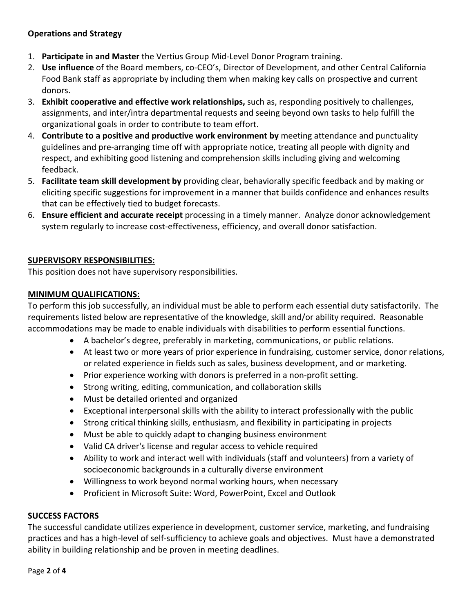# **Operations and Strategy**

- 1. **Participate in and Master** the Vertius Group Mid‐Level Donor Program training.
- 2. **Use influence** of the Board members, co‐CEO's, Director of Development, and other Central California Food Bank staff as appropriate by including them when making key calls on prospective and current donors.
- 3. **Exhibit cooperative and effective work relationships,** such as, responding positively to challenges, assignments, and inter/intra departmental requests and seeing beyond own tasks to help fulfill the organizational goals in order to contribute to team effort.
- 4. **Contribute to a positive and productive work environment by** meeting attendance and punctuality guidelines and pre‐arranging time off with appropriate notice, treating all people with dignity and respect, and exhibiting good listening and comprehension skills including giving and welcoming feedback.
- 5. **Facilitate team skill development by** providing clear, behaviorally specific feedback and by making or eliciting specific suggestions for improvement in a manner that builds confidence and enhances results that can be effectively tied to budget forecasts.
- 6. **Ensure efficient and accurate receipt** processing in a timely manner. Analyze donor acknowledgement system regularly to increase cost-effectiveness, efficiency, and overall donor satisfaction.

## **SUPERVISORY RESPONSIBILITIES:**

This position does not have supervisory responsibilities.

## **MINIMUM QUALIFICATIONS:**

To perform this job successfully, an individual must be able to perform each essential duty satisfactorily. The requirements listed below are representative of the knowledge, skill and/or ability required. Reasonable accommodations may be made to enable individuals with disabilities to perform essential functions.

- A bachelor's degree, preferably in marketing, communications, or public relations.
- At least two or more years of prior experience in fundraising, customer service, donor relations, or related experience in fields such as sales, business development, and or marketing.
- Prior experience working with donors is preferred in a non-profit setting.
- Strong writing, editing, communication, and collaboration skills
- Must be detailed oriented and organized
- Exceptional interpersonal skills with the ability to interact professionally with the public
- Strong critical thinking skills, enthusiasm, and flexibility in participating in projects
- Must be able to quickly adapt to changing business environment
- Valid CA driver's license and regular access to vehicle required
- Ability to work and interact well with individuals (staff and volunteers) from a variety of socioeconomic backgrounds in a culturally diverse environment
- Willingness to work beyond normal working hours, when necessary
- Proficient in Microsoft Suite: Word, PowerPoint, Excel and Outlook

### **SUCCESS FACTORS**

The successful candidate utilizes experience in development, customer service, marketing, and fundraising practices and has a high‐level of self‐sufficiency to achieve goals and objectives. Must have a demonstrated ability in building relationship and be proven in meeting deadlines.